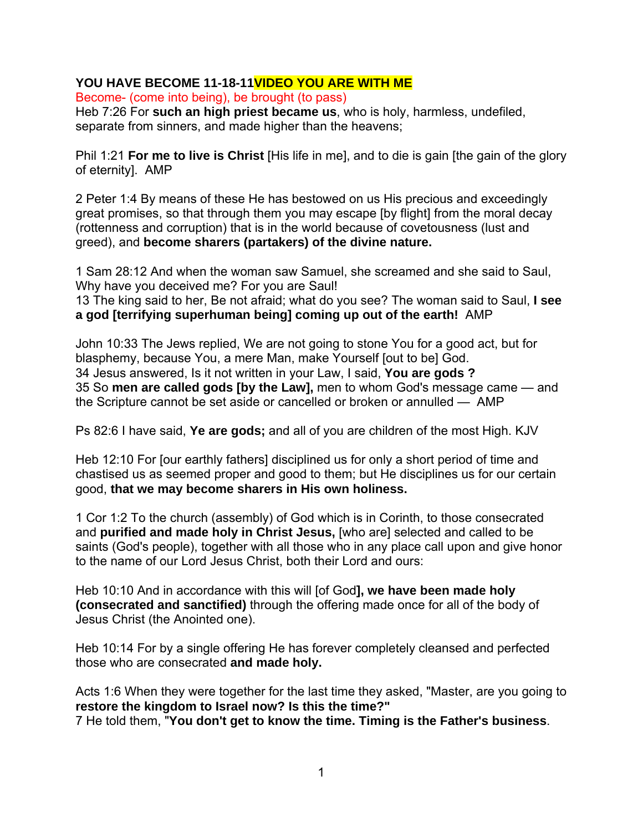## **YOU HAVE BECOME 11-18-11VIDEO YOU ARE WITH ME**

Become- (come into being), be brought (to pass)

Heb 7:26 For **such an high priest became us**, who is holy, harmless, undefiled, separate from sinners, and made higher than the heavens;

Phil 1:21 **For me to live is Christ** [His life in me], and to die is gain [the gain of the glory of eternity]. AMP

2 Peter 1:4 By means of these He has bestowed on us His precious and exceedingly great promises, so that through them you may escape [by flight] from the moral decay (rottenness and corruption) that is in the world because of covetousness (lust and greed), and **become sharers (partakers) of the divine nature.** 

1 Sam 28:12 And when the woman saw Samuel, she screamed and she said to Saul, Why have you deceived me? For you are Saul!

13 The king said to her, Be not afraid; what do you see? The woman said to Saul, **I see a god [terrifying superhuman being] coming up out of the earth!** AMP

John 10:33 The Jews replied, We are not going to stone You for a good act, but for blasphemy, because You, a mere Man, make Yourself [out to be] God. 34 Jesus answered, Is it not written in your Law, I said, **You are gods ?** 35 So **men are called gods [by the Law],** men to whom God's message came — and the Scripture cannot be set aside or cancelled or broken or annulled — AMP

Ps 82:6 I have said, **Ye are gods;** and all of you are children of the most High. KJV

Heb 12:10 For [our earthly fathers] disciplined us for only a short period of time and chastised us as seemed proper and good to them; but He disciplines us for our certain good, **that we may become sharers in His own holiness.**

1 Cor 1:2 To the church (assembly) of God which is in Corinth, to those consecrated and **purified and made holy in Christ Jesus,** [who are] selected and called to be saints (God's people), together with all those who in any place call upon and give honor to the name of our Lord Jesus Christ, both their Lord and ours:

Heb 10:10 And in accordance with this will [of God**], we have been made holy (consecrated and sanctified)** through the offering made once for all of the body of Jesus Christ (the Anointed one).

Heb 10:14 For by a single offering He has forever completely cleansed and perfected those who are consecrated **and made holy.** 

Acts 1:6 When they were together for the last time they asked, "Master, are you going to **restore the kingdom to Israel now? Is this the time?"**  7 He told them, "**You don't get to know the time. Timing is the Father's business**.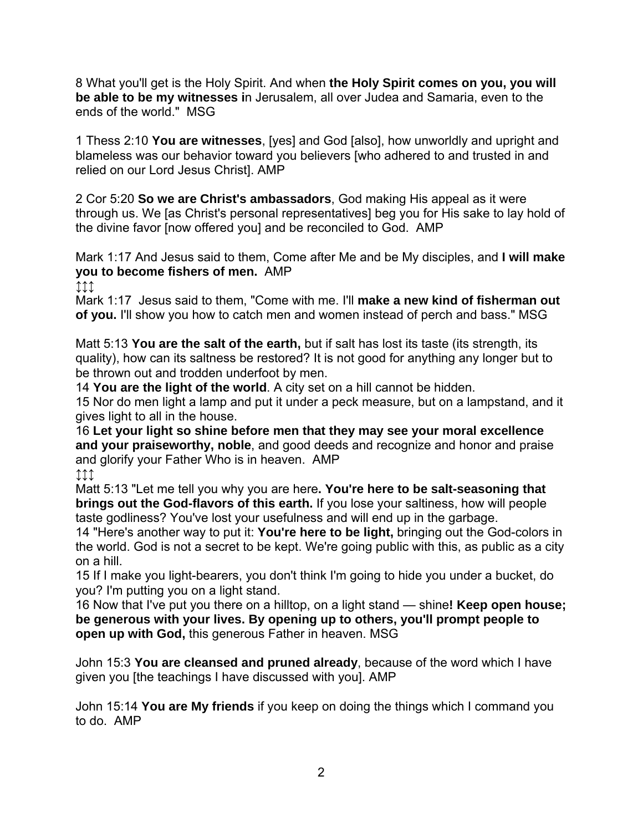8 What you'll get is the Holy Spirit. And when **the Holy Spirit comes on you, you will be able to be my witnesses i**n Jerusalem, all over Judea and Samaria, even to the ends of the world." MSG

1 Thess 2:10 **You are witnesses**, [yes] and God [also], how unworldly and upright and blameless was our behavior toward you believers [who adhered to and trusted in and relied on our Lord Jesus Christ]. AMP

2 Cor 5:20 **So we are Christ's ambassadors**, God making His appeal as it were through us. We [as Christ's personal representatives] beg you for His sake to lay hold of the divine favor [now offered you] and be reconciled to God. AMP

Mark 1:17 And Jesus said to them, Come after Me and be My disciples, and **I will make you to become fishers of men.** AMP

↕↕↕

Mark 1:17 Jesus said to them, "Come with me. I'll **make a new kind of fisherman out of you.** I'll show you how to catch men and women instead of perch and bass." MSG

Matt 5:13 **You are the salt of the earth,** but if salt has lost its taste (its strength, its quality), how can its saltness be restored? It is not good for anything any longer but to be thrown out and trodden underfoot by men.

14 **You are the light of the world**. A city set on a hill cannot be hidden.

15 Nor do men light a lamp and put it under a peck measure, but on a lampstand, and it gives light to all in the house.

16 **Let your light so shine before men that they may see your moral excellence and your praiseworthy, noble**, and good deeds and recognize and honor and praise and glorify your Father Who is in heaven. AMP

↕↕↕

Matt 5:13 "Let me tell you why you are here**. You're here to be salt-seasoning that brings out the God-flavors of this earth.** If you lose your saltiness, how will people taste godliness? You've lost your usefulness and will end up in the garbage.

14 "Here's another way to put it: **You're here to be light,** bringing out the God-colors in the world. God is not a secret to be kept. We're going public with this, as public as a city on a hill.

15 If I make you light-bearers, you don't think I'm going to hide you under a bucket, do you? I'm putting you on a light stand.

16 Now that I've put you there on a hilltop, on a light stand — shine**! Keep open house; be generous with your lives. By opening up to others, you'll prompt people to open up with God,** this generous Father in heaven. MSG

John 15:3 **You are cleansed and pruned already**, because of the word which I have given you [the teachings I have discussed with you]. AMP

John 15:14 **You are My friends** if you keep on doing the things which I command you to do. AMP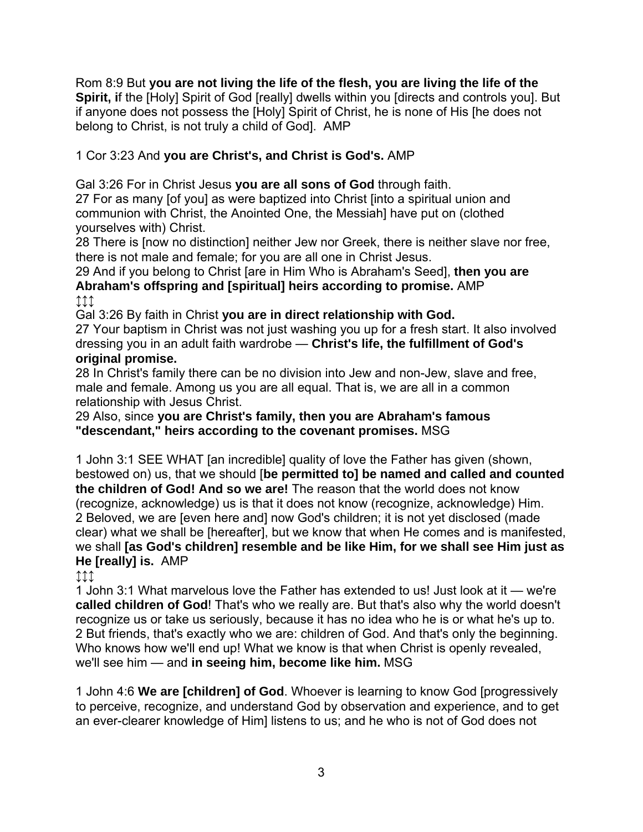Rom 8:9 But **you are not living the life of the flesh, you are living the life of the Spirit, if the [Holy] Spirit of God [really] dwells within you [directs and controls you]. But** if anyone does not possess the [Holy] Spirit of Christ, he is none of His [he does not belong to Christ, is not truly a child of God]. AMP

## 1 Cor 3:23 And **you are Christ's, and Christ is God's.** AMP

Gal 3:26 For in Christ Jesus **you are all sons of God** through faith.

27 For as many [of you] as were baptized into Christ [into a spiritual union and communion with Christ, the Anointed One, the Messiah] have put on (clothed yourselves with) Christ.

28 There is [now no distinction] neither Jew nor Greek, there is neither slave nor free, there is not male and female; for you are all one in Christ Jesus.

29 And if you belong to Christ [are in Him Who is Abraham's Seed], **then you are Abraham's offspring and [spiritual] heirs according to promise.** AMP

↕↕↕

Gal 3:26 By faith in Christ **you are in direct relationship with God.** 

27 Your baptism in Christ was not just washing you up for a fresh start. It also involved dressing you in an adult faith wardrobe — **Christ's life, the fulfillment of God's original promise.** 

28 In Christ's family there can be no division into Jew and non-Jew, slave and free, male and female. Among us you are all equal. That is, we are all in a common relationship with Jesus Christ.

29 Also, since **you are Christ's family, then you are Abraham's famous "descendant," heirs according to the covenant promises.** MSG

1 John 3:1 SEE WHAT [an incredible] quality of love the Father has given (shown, bestowed on) us, that we should [**be permitted to] be named and called and counted the children of God! And so we are!** The reason that the world does not know (recognize, acknowledge) us is that it does not know (recognize, acknowledge) Him. 2 Beloved, we are [even here and] now God's children; it is not yet disclosed (made clear) what we shall be [hereafter], but we know that when He comes and is manifested, we shall **[as God's children] resemble and be like Him, for we shall see Him just as He [really] is.** AMP

↕↕↕

1 John 3:1 What marvelous love the Father has extended to us! Just look at it — we're **called children of God**! That's who we really are. But that's also why the world doesn't recognize us or take us seriously, because it has no idea who he is or what he's up to. 2 But friends, that's exactly who we are: children of God. And that's only the beginning. Who knows how we'll end up! What we know is that when Christ is openly revealed, we'll see him — and **in seeing him, become like him.** MSG

1 John 4:6 **We are [children] of God**. Whoever is learning to know God [progressively to perceive, recognize, and understand God by observation and experience, and to get an ever-clearer knowledge of Him] listens to us; and he who is not of God does not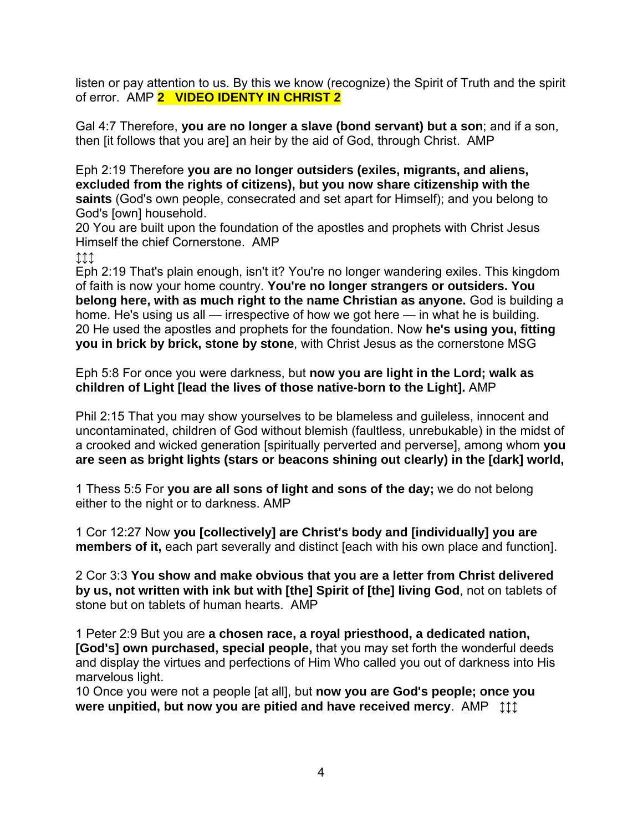listen or pay attention to us. By this we know (recognize) the Spirit of Truth and the spirit of error. AMP **2 VIDEO IDENTY IN CHRIST 2** 

Gal 4:7 Therefore, **you are no longer a slave (bond servant) but a son**; and if a son, then [it follows that you are] an heir by the aid of God, through Christ. AMP

Eph 2:19 Therefore **you are no longer outsiders (exiles, migrants, and aliens, excluded from the rights of citizens), but you now share citizenship with the saints** (God's own people, consecrated and set apart for Himself); and you belong to God's [own] household.

20 You are built upon the foundation of the apostles and prophets with Christ Jesus Himself the chief Cornerstone. AMP

↕↕↕

Eph 2:19 That's plain enough, isn't it? You're no longer wandering exiles. This kingdom of faith is now your home country. **You're no longer strangers or outsiders. You belong here, with as much right to the name Christian as anyone.** God is building a home. He's using us all — irrespective of how we got here — in what he is building. 20 He used the apostles and prophets for the foundation. Now **he's using you, fitting you in brick by brick, stone by stone**, with Christ Jesus as the cornerstone MSG

Eph 5:8 For once you were darkness, but **now you are light in the Lord; walk as children of Light [lead the lives of those native-born to the Light].** AMP

Phil 2:15 That you may show yourselves to be blameless and guileless, innocent and uncontaminated, children of God without blemish (faultless, unrebukable) in the midst of a crooked and wicked generation [spiritually perverted and perverse], among whom **you are seen as bright lights (stars or beacons shining out clearly) in the [dark] world,**

1 Thess 5:5 For **you are all sons of light and sons of the day;** we do not belong either to the night or to darkness. AMP

1 Cor 12:27 Now **you [collectively] are Christ's body and [individually] you are members of it,** each part severally and distinct [each with his own place and function].

2 Cor 3:3 **You show and make obvious that you are a letter from Christ delivered by us, not written with ink but with [the] Spirit of [the] living God**, not on tablets of stone but on tablets of human hearts. AMP

1 Peter 2:9 But you are **a chosen race, a royal priesthood, a dedicated nation, [God's] own purchased, special people,** that you may set forth the wonderful deeds and display the virtues and perfections of Him Who called you out of darkness into His marvelous light.

10 Once you were not a people [at all], but **now you are God's people; once you were unpitied, but now you are pitied and have received mercy.** AMP  $\uparrow \uparrow \uparrow$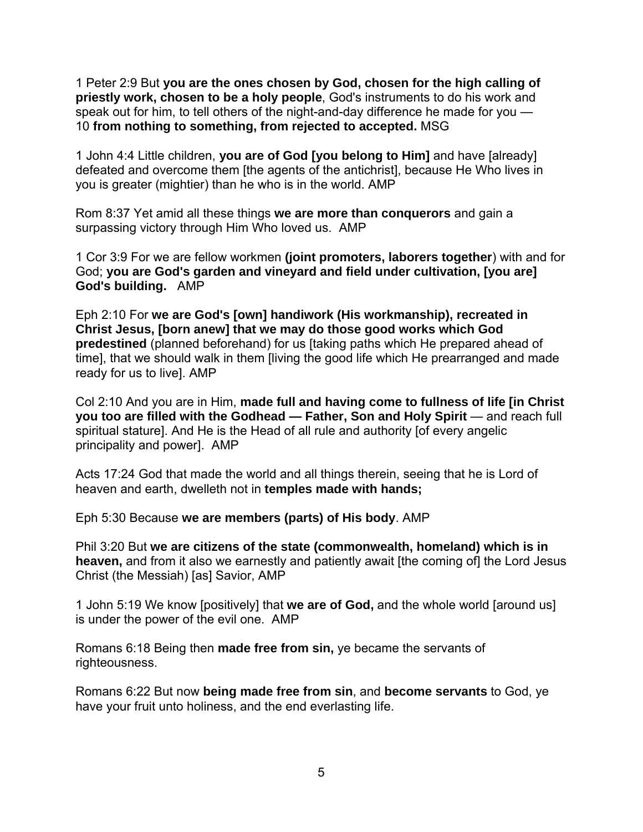1 Peter 2:9 But **you are the ones chosen by God, chosen for the high calling of priestly work, chosen to be a holy people**, God's instruments to do his work and speak out for him, to tell others of the night-and-day difference he made for you — 10 **from nothing to something, from rejected to accepted.** MSG

1 John 4:4 Little children, **you are of God [you belong to Him]** and have [already] defeated and overcome them [the agents of the antichrist], because He Who lives in you is greater (mightier) than he who is in the world. AMP

Rom 8:37 Yet amid all these things **we are more than conquerors** and gain a surpassing victory through Him Who loved us. AMP

1 Cor 3:9 For we are fellow workmen **(joint promoters, laborers together**) with and for God; **you are God's garden and vineyard and field under cultivation, [you are] God's building.** AMP

Eph 2:10 For **we are God's [own] handiwork (His workmanship), recreated in Christ Jesus, [born anew] that we may do those good works which God predestined** (planned beforehand) for us [taking paths which He prepared ahead of time], that we should walk in them [living the good life which He prearranged and made ready for us to live]. AMP

Col 2:10 And you are in Him, **made full and having come to fullness of life [in Christ you too are filled with the Godhead — Father, Son and Holy Spirit** — and reach full spiritual stature]. And He is the Head of all rule and authority [of every angelic principality and power]. AMP

Acts 17:24 God that made the world and all things therein, seeing that he is Lord of heaven and earth, dwelleth not in **temples made with hands;**

Eph 5:30 Because **we are members (parts) of His body**. AMP

Phil 3:20 But **we are citizens of the state (commonwealth, homeland) which is in heaven,** and from it also we earnestly and patiently await [the coming of] the Lord Jesus Christ (the Messiah) [as] Savior, AMP

1 John 5:19 We know [positively] that **we are of God,** and the whole world [around us] is under the power of the evil one. AMP

Romans 6:18 Being then **made free from sin,** ye became the servants of righteousness.

Romans 6:22 But now **being made free from sin**, and **become servants** to God, ye have your fruit unto holiness, and the end everlasting life.